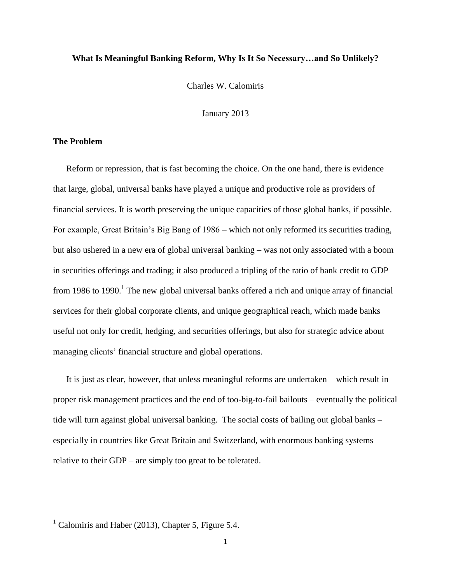### **What Is Meaningful Banking Reform, Why Is It So Necessary…and So Unlikely?**

Charles W. Calomiris

January 2013

#### **The Problem**

Reform or repression, that is fast becoming the choice. On the one hand, there is evidence that large, global, universal banks have played a unique and productive role as providers of financial services. It is worth preserving the unique capacities of those global banks, if possible. For example, Great Britain's Big Bang of 1986 – which not only reformed its securities trading, but also ushered in a new era of global universal banking – was not only associated with a boom in securities offerings and trading; it also produced a tripling of the ratio of bank credit to GDP from 1986 to 1990.<sup>1</sup> The new global universal banks offered a rich and unique array of financial services for their global corporate clients, and unique geographical reach, which made banks useful not only for credit, hedging, and securities offerings, but also for strategic advice about managing clients' financial structure and global operations.

It is just as clear, however, that unless meaningful reforms are undertaken – which result in proper risk management practices and the end of too-big-to-fail bailouts – eventually the political tide will turn against global universal banking. The social costs of bailing out global banks – especially in countries like Great Britain and Switzerland, with enormous banking systems relative to their GDP – are simply too great to be tolerated.

 $\overline{\phantom{a}}$ 

 $1$  Calomiris and Haber (2013), Chapter 5, Figure 5.4.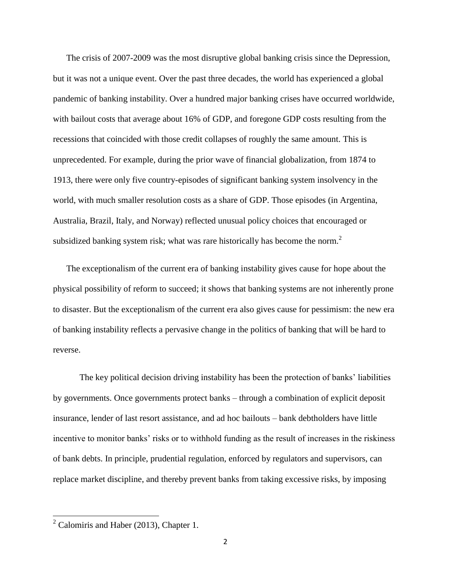The crisis of 2007-2009 was the most disruptive global banking crisis since the Depression, but it was not a unique event. Over the past three decades, the world has experienced a global pandemic of banking instability. Over a hundred major banking crises have occurred worldwide, with bailout costs that average about 16% of GDP, and foregone GDP costs resulting from the recessions that coincided with those credit collapses of roughly the same amount. This is unprecedented. For example, during the prior wave of financial globalization, from 1874 to 1913, there were only five country-episodes of significant banking system insolvency in the world, with much smaller resolution costs as a share of GDP. Those episodes (in Argentina, Australia, Brazil, Italy, and Norway) reflected unusual policy choices that encouraged or subsidized banking system risk; what was rare historically has become the norm.<sup>2</sup>

The exceptionalism of the current era of banking instability gives cause for hope about the physical possibility of reform to succeed; it shows that banking systems are not inherently prone to disaster. But the exceptionalism of the current era also gives cause for pessimism: the new era of banking instability reflects a pervasive change in the politics of banking that will be hard to reverse.

The key political decision driving instability has been the protection of banks' liabilities by governments. Once governments protect banks – through a combination of explicit deposit insurance, lender of last resort assistance, and ad hoc bailouts – bank debtholders have little incentive to monitor banks' risks or to withhold funding as the result of increases in the riskiness of bank debts. In principle, prudential regulation, enforced by regulators and supervisors, can replace market discipline, and thereby prevent banks from taking excessive risks, by imposing

 $\overline{\phantom{a}}$ 

 $2$  Calomiris and Haber (2013), Chapter 1.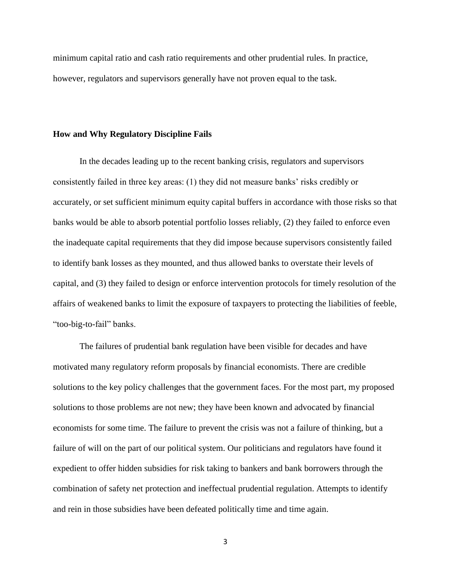minimum capital ratio and cash ratio requirements and other prudential rules. In practice, however, regulators and supervisors generally have not proven equal to the task.

#### **How and Why Regulatory Discipline Fails**

In the decades leading up to the recent banking crisis, regulators and supervisors consistently failed in three key areas: (1) they did not measure banks' risks credibly or accurately, or set sufficient minimum equity capital buffers in accordance with those risks so that banks would be able to absorb potential portfolio losses reliably, (2) they failed to enforce even the inadequate capital requirements that they did impose because supervisors consistently failed to identify bank losses as they mounted, and thus allowed banks to overstate their levels of capital, and (3) they failed to design or enforce intervention protocols for timely resolution of the affairs of weakened banks to limit the exposure of taxpayers to protecting the liabilities of feeble, "too-big-to-fail" banks.

The failures of prudential bank regulation have been visible for decades and have motivated many regulatory reform proposals by financial economists. There are credible solutions to the key policy challenges that the government faces. For the most part, my proposed solutions to those problems are not new; they have been known and advocated by financial economists for some time. The failure to prevent the crisis was not a failure of thinking, but a failure of will on the part of our political system. Our politicians and regulators have found it expedient to offer hidden subsidies for risk taking to bankers and bank borrowers through the combination of safety net protection and ineffectual prudential regulation. Attempts to identify and rein in those subsidies have been defeated politically time and time again.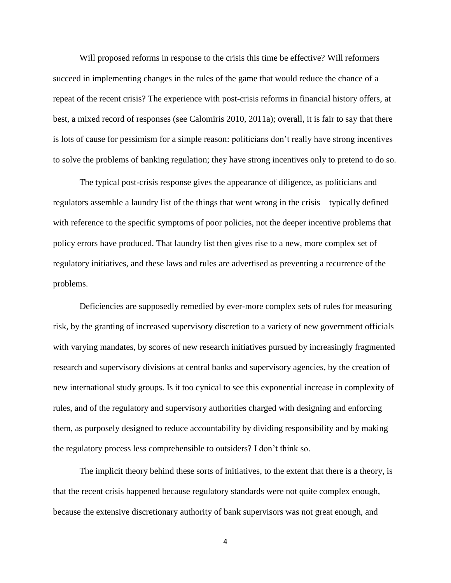Will proposed reforms in response to the crisis this time be effective? Will reformers succeed in implementing changes in the rules of the game that would reduce the chance of a repeat of the recent crisis? The experience with post-crisis reforms in financial history offers, at best, a mixed record of responses (see Calomiris 2010, 2011a); overall, it is fair to say that there is lots of cause for pessimism for a simple reason: politicians don't really have strong incentives to solve the problems of banking regulation; they have strong incentives only to pretend to do so.

The typical post-crisis response gives the appearance of diligence, as politicians and regulators assemble a laundry list of the things that went wrong in the crisis – typically defined with reference to the specific symptoms of poor policies, not the deeper incentive problems that policy errors have produced. That laundry list then gives rise to a new, more complex set of regulatory initiatives, and these laws and rules are advertised as preventing a recurrence of the problems.

Deficiencies are supposedly remedied by ever-more complex sets of rules for measuring risk, by the granting of increased supervisory discretion to a variety of new government officials with varying mandates, by scores of new research initiatives pursued by increasingly fragmented research and supervisory divisions at central banks and supervisory agencies, by the creation of new international study groups. Is it too cynical to see this exponential increase in complexity of rules, and of the regulatory and supervisory authorities charged with designing and enforcing them, as purposely designed to reduce accountability by dividing responsibility and by making the regulatory process less comprehensible to outsiders? I don't think so.

The implicit theory behind these sorts of initiatives, to the extent that there is a theory, is that the recent crisis happened because regulatory standards were not quite complex enough, because the extensive discretionary authority of bank supervisors was not great enough, and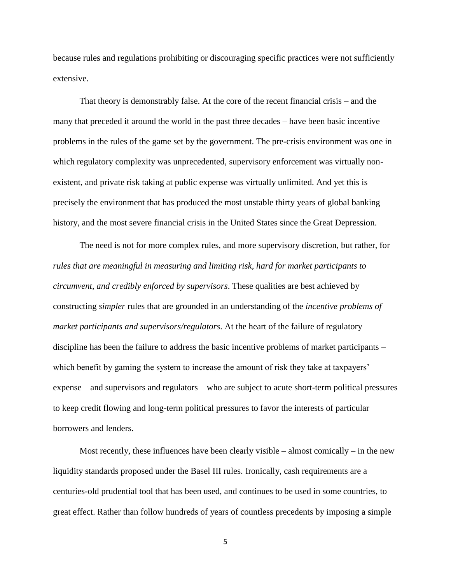because rules and regulations prohibiting or discouraging specific practices were not sufficiently extensive.

That theory is demonstrably false. At the core of the recent financial crisis – and the many that preceded it around the world in the past three decades – have been basic incentive problems in the rules of the game set by the government. The pre-crisis environment was one in which regulatory complexity was unprecedented, supervisory enforcement was virtually nonexistent, and private risk taking at public expense was virtually unlimited. And yet this is precisely the environment that has produced the most unstable thirty years of global banking history, and the most severe financial crisis in the United States since the Great Depression.

The need is not for more complex rules, and more supervisory discretion, but rather, for *rules that are meaningful in measuring and limiting risk, hard for market participants to circumvent, and credibly enforced by supervisors*. These qualities are best achieved by constructing *simpler* rules that are grounded in an understanding of the *incentive problems of market participants and supervisors/regulators*. At the heart of the failure of regulatory discipline has been the failure to address the basic incentive problems of market participants – which benefit by gaming the system to increase the amount of risk they take at taxpayers' expense – and supervisors and regulators – who are subject to acute short-term political pressures to keep credit flowing and long-term political pressures to favor the interests of particular borrowers and lenders.

Most recently, these influences have been clearly visible – almost comically – in the new liquidity standards proposed under the Basel III rules. Ironically, cash requirements are a centuries-old prudential tool that has been used, and continues to be used in some countries, to great effect. Rather than follow hundreds of years of countless precedents by imposing a simple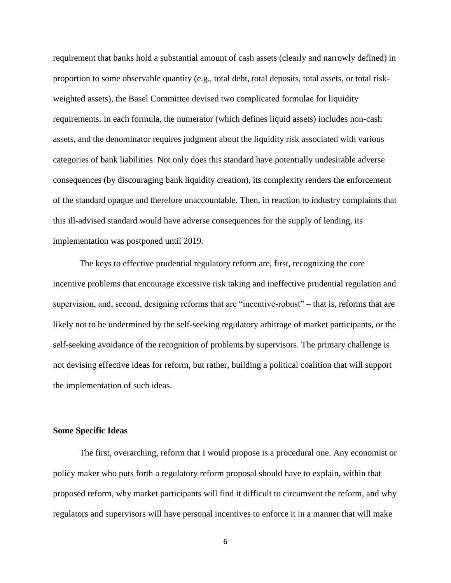requirement that banks hold a substantial amount of cash assets (clearly and narrowly defined) in proportion to some observable quantity (e.g., total debt, total deposits, total assets, or total riskweighted assets), the Basel Committee devised two complicated formulae for liquidity requirements. In each formula, the numerator (which defines liquid assets) includes non-cash assets, and the denominator requires judgment about the liquidity risk associated with various categories of bank liabilities. Not only does this standard have potentially undesirable adverse consequences (by discouraging bank liquidity creation), its complexity renders the enforcement of the standard opaque and therefore unaccountable. Then, in reaction to industry complaints that this ill-advised standard would have adverse consequences for the supply of lending, its implementation was postponed until 2019.

The keys to effective prudential regulatory reform are, first, recognizing the core incentive problems that encourage excessive risk taking and ineffective prudential regulation and supervision, and, second, designing reforms that are "incentive-robust" – that is, reforms that are likely not to be undermined by the self-seeking regulatory arbitrage of market participants, or the self-seeking avoidance of the recognition of problems by supervisors. The primary challenge is not devising effective ideas for reform, but rather, building a political coalition that will support the implementation of such ideas.

## **Some Specific Ideas**

The first, overarching, reform that I would propose is a procedural one. Any economist or policy maker who puts forth a regulatory reform proposal should have to explain, within that proposed reform, why market participants will find it difficult to circumvent the reform, and why regulators and supervisors will have personal incentives to enforce it in a manner that will make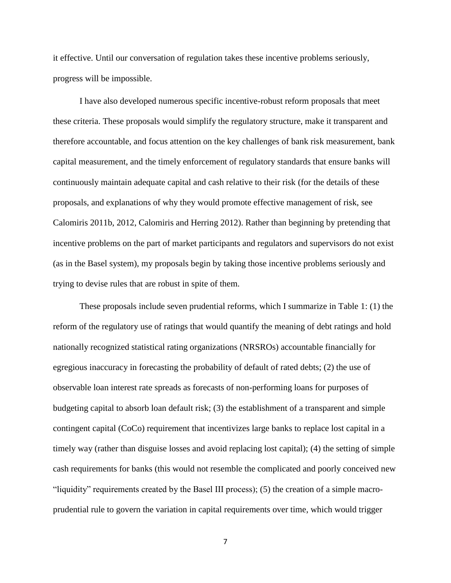it effective. Until our conversation of regulation takes these incentive problems seriously, progress will be impossible.

I have also developed numerous specific incentive-robust reform proposals that meet these criteria. These proposals would simplify the regulatory structure, make it transparent and therefore accountable, and focus attention on the key challenges of bank risk measurement, bank capital measurement, and the timely enforcement of regulatory standards that ensure banks will continuously maintain adequate capital and cash relative to their risk (for the details of these proposals, and explanations of why they would promote effective management of risk, see Calomiris 2011b, 2012, Calomiris and Herring 2012). Rather than beginning by pretending that incentive problems on the part of market participants and regulators and supervisors do not exist (as in the Basel system), my proposals begin by taking those incentive problems seriously and trying to devise rules that are robust in spite of them.

These proposals include seven prudential reforms, which I summarize in Table 1: (1) the reform of the regulatory use of ratings that would quantify the meaning of debt ratings and hold nationally recognized statistical rating organizations (NRSROs) accountable financially for egregious inaccuracy in forecasting the probability of default of rated debts; (2) the use of observable loan interest rate spreads as forecasts of non-performing loans for purposes of budgeting capital to absorb loan default risk; (3) the establishment of a transparent and simple contingent capital (CoCo) requirement that incentivizes large banks to replace lost capital in a timely way (rather than disguise losses and avoid replacing lost capital); (4) the setting of simple cash requirements for banks (this would not resemble the complicated and poorly conceived new "liquidity" requirements created by the Basel III process); (5) the creation of a simple macroprudential rule to govern the variation in capital requirements over time, which would trigger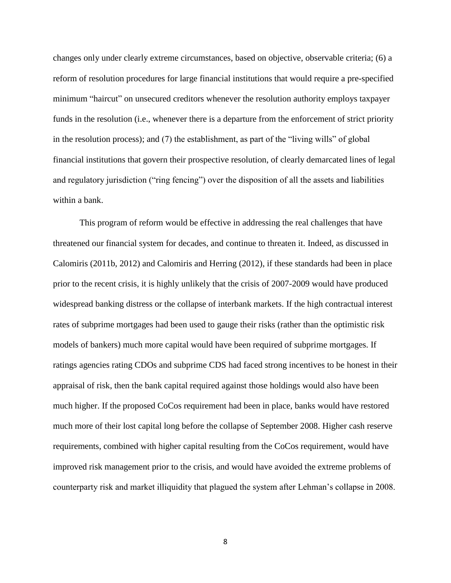changes only under clearly extreme circumstances, based on objective, observable criteria; (6) a reform of resolution procedures for large financial institutions that would require a pre-specified minimum "haircut" on unsecured creditors whenever the resolution authority employs taxpayer funds in the resolution (i.e., whenever there is a departure from the enforcement of strict priority in the resolution process); and (7) the establishment, as part of the "living wills" of global financial institutions that govern their prospective resolution, of clearly demarcated lines of legal and regulatory jurisdiction ("ring fencing") over the disposition of all the assets and liabilities within a bank.

This program of reform would be effective in addressing the real challenges that have threatened our financial system for decades, and continue to threaten it. Indeed, as discussed in Calomiris (2011b, 2012) and Calomiris and Herring (2012), if these standards had been in place prior to the recent crisis, it is highly unlikely that the crisis of 2007-2009 would have produced widespread banking distress or the collapse of interbank markets. If the high contractual interest rates of subprime mortgages had been used to gauge their risks (rather than the optimistic risk models of bankers) much more capital would have been required of subprime mortgages. If ratings agencies rating CDOs and subprime CDS had faced strong incentives to be honest in their appraisal of risk, then the bank capital required against those holdings would also have been much higher. If the proposed CoCos requirement had been in place, banks would have restored much more of their lost capital long before the collapse of September 2008. Higher cash reserve requirements, combined with higher capital resulting from the CoCos requirement, would have improved risk management prior to the crisis, and would have avoided the extreme problems of counterparty risk and market illiquidity that plagued the system after Lehman's collapse in 2008.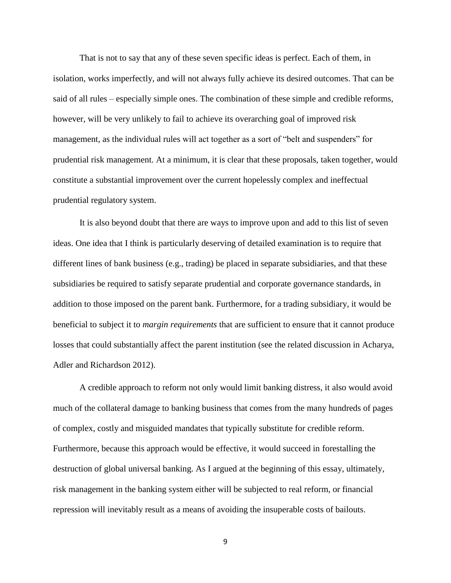That is not to say that any of these seven specific ideas is perfect. Each of them, in isolation, works imperfectly, and will not always fully achieve its desired outcomes. That can be said of all rules – especially simple ones. The combination of these simple and credible reforms, however, will be very unlikely to fail to achieve its overarching goal of improved risk management, as the individual rules will act together as a sort of "belt and suspenders" for prudential risk management. At a minimum, it is clear that these proposals, taken together, would constitute a substantial improvement over the current hopelessly complex and ineffectual prudential regulatory system.

It is also beyond doubt that there are ways to improve upon and add to this list of seven ideas. One idea that I think is particularly deserving of detailed examination is to require that different lines of bank business (e.g., trading) be placed in separate subsidiaries, and that these subsidiaries be required to satisfy separate prudential and corporate governance standards, in addition to those imposed on the parent bank. Furthermore, for a trading subsidiary, it would be beneficial to subject it to *margin requirements* that are sufficient to ensure that it cannot produce losses that could substantially affect the parent institution (see the related discussion in Acharya, Adler and Richardson 2012).

A credible approach to reform not only would limit banking distress, it also would avoid much of the collateral damage to banking business that comes from the many hundreds of pages of complex, costly and misguided mandates that typically substitute for credible reform. Furthermore, because this approach would be effective, it would succeed in forestalling the destruction of global universal banking. As I argued at the beginning of this essay, ultimately, risk management in the banking system either will be subjected to real reform, or financial repression will inevitably result as a means of avoiding the insuperable costs of bailouts.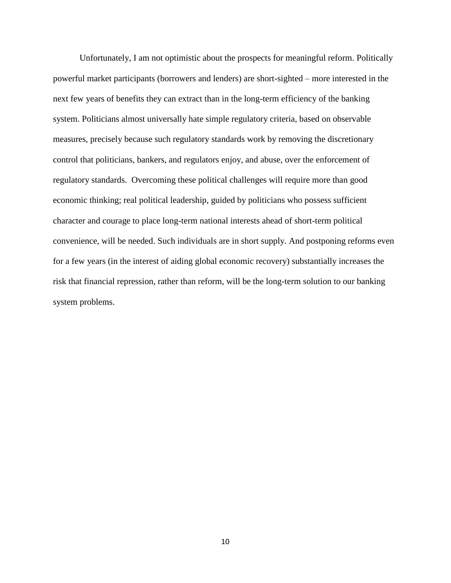Unfortunately, I am not optimistic about the prospects for meaningful reform. Politically powerful market participants (borrowers and lenders) are short-sighted – more interested in the next few years of benefits they can extract than in the long-term efficiency of the banking system. Politicians almost universally hate simple regulatory criteria, based on observable measures, precisely because such regulatory standards work by removing the discretionary control that politicians, bankers, and regulators enjoy, and abuse, over the enforcement of regulatory standards. Overcoming these political challenges will require more than good economic thinking; real political leadership, guided by politicians who possess sufficient character and courage to place long-term national interests ahead of short-term political convenience, will be needed. Such individuals are in short supply. And postponing reforms even for a few years (in the interest of aiding global economic recovery) substantially increases the risk that financial repression, rather than reform, will be the long-term solution to our banking system problems.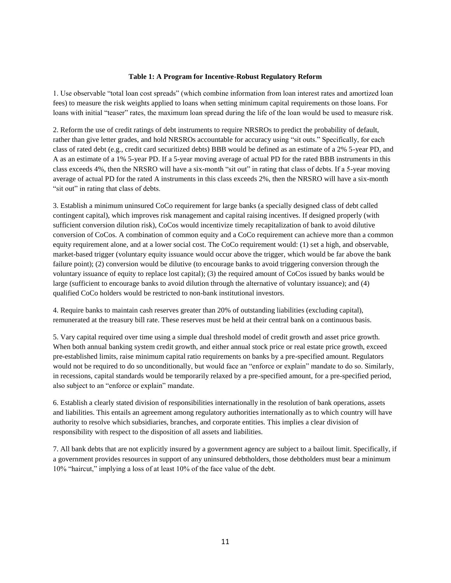#### **Table 1: A Program for Incentive-Robust Regulatory Reform**

1. Use observable "total loan cost spreads" (which combine information from loan interest rates and amortized loan fees) to measure the risk weights applied to loans when setting minimum capital requirements on those loans. For loans with initial "teaser" rates, the maximum loan spread during the life of the loan would be used to measure risk.

2. Reform the use of credit ratings of debt instruments to require NRSROs to predict the probability of default, rather than give letter grades, and hold NRSROs accountable for accuracy using "sit outs." Specifically, for each class of rated debt (e.g., credit card securitized debts) BBB would be defined as an estimate of a 2% 5-year PD, and A as an estimate of a 1% 5-year PD. If a 5-year moving average of actual PD for the rated BBB instruments in this class exceeds 4%, then the NRSRO will have a six-month "sit out" in rating that class of debts. If a 5-year moving average of actual PD for the rated A instruments in this class exceeds 2%, then the NRSRO will have a six-month "sit out" in rating that class of debts.

3. Establish a minimum uninsured CoCo requirement for large banks (a specially designed class of debt called contingent capital), which improves risk management and capital raising incentives. If designed properly (with sufficient conversion dilution risk), CoCos would incentivize timely recapitalization of bank to avoid dilutive conversion of CoCos. A combination of common equity and a CoCo requirement can achieve more than a common equity requirement alone, and at a lower social cost. The CoCo requirement would: (1) set a high, and observable, market-based trigger (voluntary equity issuance would occur above the trigger, which would be far above the bank failure point); (2) conversion would be dilutive (to encourage banks to avoid triggering conversion through the voluntary issuance of equity to replace lost capital); (3) the required amount of CoCos issued by banks would be large (sufficient to encourage banks to avoid dilution through the alternative of voluntary issuance); and (4) qualified CoCo holders would be restricted to non-bank institutional investors.

4. Require banks to maintain cash reserves greater than 20% of outstanding liabilities (excluding capital), remunerated at the treasury bill rate. These reserves must be held at their central bank on a continuous basis.

5. Vary capital required over time using a simple dual threshold model of credit growth and asset price growth. When both annual banking system credit growth, and either annual stock price or real estate price growth, exceed pre-established limits, raise minimum capital ratio requirements on banks by a pre-specified amount. Regulators would not be required to do so unconditionally, but would face an "enforce or explain" mandate to do so. Similarly, in recessions, capital standards would be temporarily relaxed by a pre-specified amount, for a pre-specified period, also subject to an "enforce or explain" mandate.

6. Establish a clearly stated division of responsibilities internationally in the resolution of bank operations, assets and liabilities. This entails an agreement among regulatory authorities internationally as to which country will have authority to resolve which subsidiaries, branches, and corporate entities. This implies a clear division of responsibility with respect to the disposition of all assets and liabilities.

7. All bank debts that are not explicitly insured by a government agency are subject to a bailout limit. Specifically, if a government provides resources in support of any uninsured debtholders, those debtholders must bear a minimum 10% "haircut," implying a loss of at least 10% of the face value of the debt.